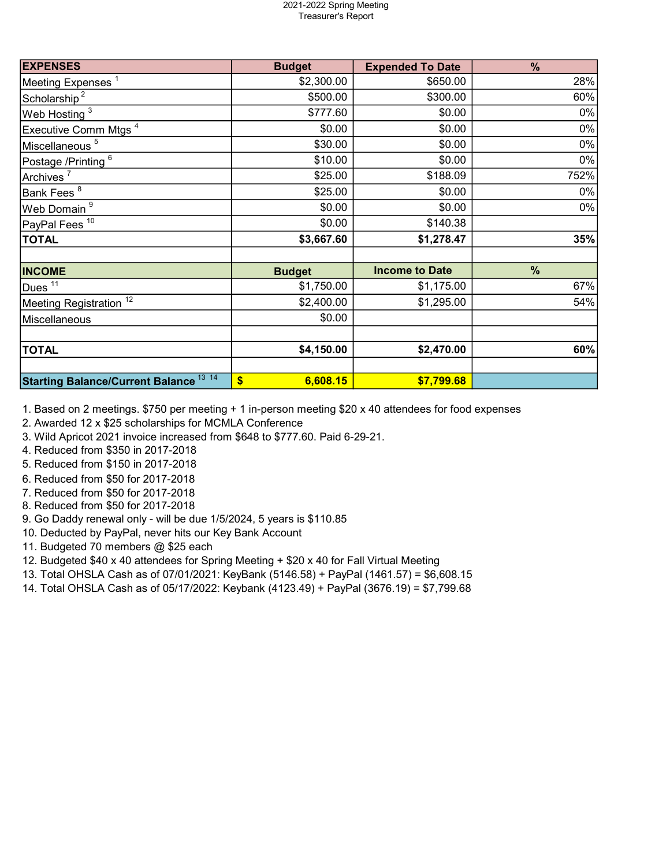## 2021-2022 Spring Meeting Treasurer's Report

| <b>EXPENSES</b>                               | <b>Budget</b>  | <b>Expended To Date</b> | $\frac{9}{6}$ |
|-----------------------------------------------|----------------|-------------------------|---------------|
| Meeting Expenses <sup>1</sup>                 | \$2,300.00     | \$650.00                | 28%           |
| Scholarship <sup>2</sup>                      | \$500.00       | \$300.00                | 60%           |
| Web Hosting <sup>3</sup>                      | \$777.60       | \$0.00                  | 0%            |
| Executive Comm Mtgs <sup>4</sup>              | \$0.00         | \$0.00                  | 0%            |
| Miscellaneous <sup>5</sup>                    | \$30.00        | \$0.00                  | 0%            |
| Postage /Printing <sup>6</sup>                | \$10.00        | \$0.00                  | $0\%$         |
| Archives <sup>7</sup>                         | \$25.00        | \$188.09                | 752%          |
| Bank Fees $^8$                                | \$25.00        | \$0.00                  | 0%            |
| Web Domain <sup>9</sup>                       | \$0.00         | \$0.00                  | 0%            |
| PayPal Fees <sup>10</sup>                     | \$0.00         | \$140.38                |               |
| <b>TOTAL</b>                                  | \$3,667.60     | \$1,278.47              | 35%           |
| <b>INCOME</b>                                 | <b>Budget</b>  | <b>Income to Date</b>   | $\%$          |
| Dues <sup>11</sup>                            | \$1,750.00     | \$1,175.00              | 67%           |
| Meeting Registration <sup>12</sup>            | \$2,400.00     | \$1,295.00              | 54%           |
| Miscellaneous                                 | \$0.00         |                         |               |
| <b>TOTAL</b>                                  | \$4,150.00     | \$2,470.00              | 60%           |
| <b>Starting Balance/Current Balance 13 14</b> | \$<br>6,608.15 | \$7,799.68              |               |

1. Based on 2 meetings. \$750 per meeting + 1 in-person meeting \$20 x 40 attendees for food expenses

2. Awarded 12 x \$25 scholarships for MCMLA Conference

- 3. Wild Apricot 2021 invoice increased from \$648 to \$777.60. Paid 6-29-21.
- 4. Reduced from \$350 in 2017-2018
- 5. Reduced from \$150 in 2017-2018
- 6. Reduced from \$50 for 2017-2018
- 7. Reduced from \$50 for 2017-2018
- 8. Reduced from \$50 for 2017-2018
- 9. Go Daddy renewal only will be due 1/5/2024, 5 years is \$110.85
- 10. Deducted by PayPal, never hits our Key Bank Account
- 11. Budgeted 70 members @ \$25 each
- 12. Budgeted \$40 x 40 attendees for Spring Meeting + \$20 x 40 for Fall Virtual Meeting
- 13. Total OHSLA Cash as of 07/01/2021: KeyBank (5146.58) + PayPal (1461.57) = \$6,608.15
- 14. Total OHSLA Cash as of 05/17/2022: Keybank (4123.49) + PayPal (3676.19) = \$7,799.68